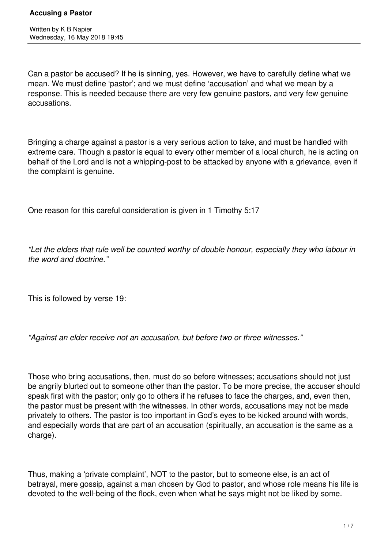Can a pastor be accused? If he is sinning, yes. However, we have to carefully define what we mean. We must define 'pastor'; and we must define 'accusation' and what we mean by a response. This is needed because there are very few genuine pastors, and very few genuine accusations.

Bringing a charge against a pastor is a very serious action to take, and must be handled with extreme care. Though a pastor is equal to every other member of a local church, he is acting on behalf of the Lord and is not a whipping-post to be attacked by anyone with a grievance, even if the complaint is genuine.

One reason for this careful consideration is given in 1 Timothy 5:17

*"Let the elders that rule well be counted worthy of double honour, especially they who labour in the word and doctrine."*

This is followed by verse 19:

*"Against an elder receive not an accusation, but before two or three witnesses."*

Those who bring accusations, then, must do so before witnesses; accusations should not just be angrily blurted out to someone other than the pastor. To be more precise, the accuser should speak first with the pastor; only go to others if he refuses to face the charges, and, even then, the pastor must be present with the witnesses. In other words, accusations may not be made privately to others. The pastor is too important in God's eyes to be kicked around with words, and especially words that are part of an accusation (spiritually, an accusation is the same as a charge).

Thus, making a 'private complaint', NOT to the pastor, but to someone else, is an act of betrayal, mere gossip, against a man chosen by God to pastor, and whose role means his life is devoted to the well-being of the flock, even when what he says might not be liked by some.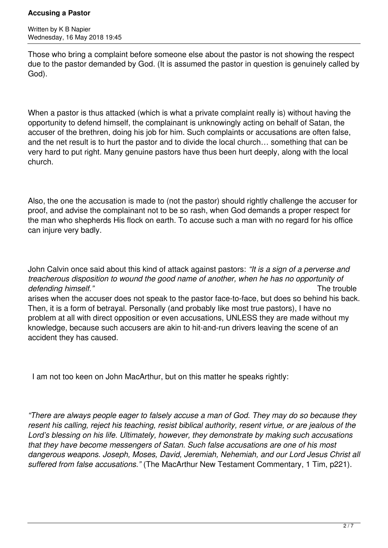Those who bring a complaint before someone else about the pastor is not showing the respect due to the pastor demanded by God. (It is assumed the pastor in question is genuinely called by God).

When a pastor is thus attacked (which is what a private complaint really is) without having the opportunity to defend himself, the complainant is unknowingly acting on behalf of Satan, the accuser of the brethren, doing his job for him. Such complaints or accusations are often false, and the net result is to hurt the pastor and to divide the local church… something that can be very hard to put right. Many genuine pastors have thus been hurt deeply, along with the local church.

Also, the one the accusation is made to (not the pastor) should rightly challenge the accuser for proof, and advise the complainant not to be so rash, when God demands a proper respect for the man who shepherds His flock on earth. To accuse such a man with no regard for his office can injure very badly.

John Calvin once said about this kind of attack against pastors: *"It is a sign of a perverse and treacherous disposition to wound the good name of another, when he has no opportunity of defending himself."* The trouble and the transfer of the transfer of the transfer of the transfer of the transfer of the transfer of the transfer of the transfer of the transfer of the transfer of the transfer of the tran arises when the accuser does not speak to the pastor face-to-face, but does so behind his back. Then, it is a form of betrayal. Personally (and probably like most true pastors), I have no problem at all with direct opposition or even accusations, UNLESS they are made without my knowledge, because such accusers are akin to hit-and-run drivers leaving the scene of an accident they has caused.

I am not too keen on John MacArthur, but on this matter he speaks rightly:

*"There are always people eager to falsely accuse a man of God. They may do so because they resent his calling, reject his teaching, resist biblical authority, resent virtue, or are jealous of the Lord's blessing on his life. Ultimately, however, they demonstrate by making such accusations that they have become messengers of Satan. Such false accusations are one of his most dangerous weapons. Joseph, Moses, David, Jeremiah, Nehemiah, and our Lord Jesus Christ all suffered from false accusations."* (The MacArthur New Testament Commentary, 1 Tim, p221).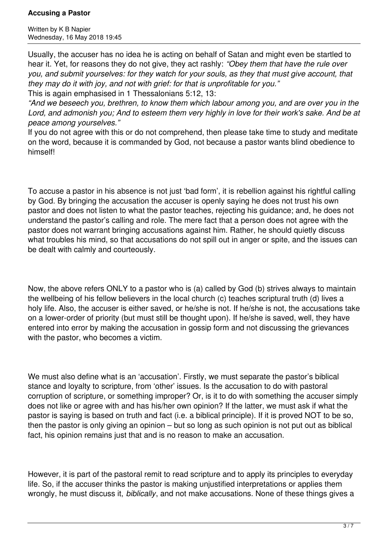Written by K B Napier Wednesday, 16 May 2018 19:45

Usually, the accuser has no idea he is acting on behalf of Satan and might even be startled to hear it. Yet, for reasons they do not give, they act rashly: *"Obey them that have the rule over you, and submit yourselves: for they watch for your souls, as they that must give account, that they may do it with joy, and not with grief: for that is unprofitable for you."*

This is again emphasised in 1 Thessalonians 5:12, 13:

*"And we beseech you, brethren, to know them which labour among you, and are over you in the Lord, and admonish you; And to esteem them very highly in love for their work's sake. And be at peace among yourselves."*

If you do not agree with this or do not comprehend, then please take time to study and meditate on the word, because it is commanded by God, not because a pastor wants blind obedience to himself!

To accuse a pastor in his absence is not just 'bad form', it is rebellion against his rightful calling by God. By bringing the accusation the accuser is openly saying he does not trust his own pastor and does not listen to what the pastor teaches, rejecting his guidance; and, he does not understand the pastor's calling and role. The mere fact that a person does not agree with the pastor does not warrant bringing accusations against him. Rather, he should quietly discuss what troubles his mind, so that accusations do not spill out in anger or spite, and the issues can be dealt with calmly and courteously.

Now, the above refers ONLY to a pastor who is (a) called by God (b) strives always to maintain the wellbeing of his fellow believers in the local church (c) teaches scriptural truth (d) lives a holy life. Also, the accuser is either saved, or he/she is not. If he/she is not, the accusations take on a lower-order of priority (but must still be thought upon). If he/she is saved, well, they have entered into error by making the accusation in gossip form and not discussing the grievances with the pastor, who becomes a victim.

We must also define what is an 'accusation'. Firstly, we must separate the pastor's biblical stance and loyalty to scripture, from 'other' issues. Is the accusation to do with pastoral corruption of scripture, or something improper? Or, is it to do with something the accuser simply does not like or agree with and has his/her own opinion? If the latter, we must ask if what the pastor is saying is based on truth and fact (i.e. a biblical principle). If it is proved NOT to be so, then the pastor is only giving an opinion – but so long as such opinion is not put out as biblical fact, his opinion remains just that and is no reason to make an accusation.

However, it is part of the pastoral remit to read scripture and to apply its principles to everyday life. So, if the accuser thinks the pastor is making unjustified interpretations or applies them wrongly, he must discuss it, *biblically*, and not make accusations. None of these things gives a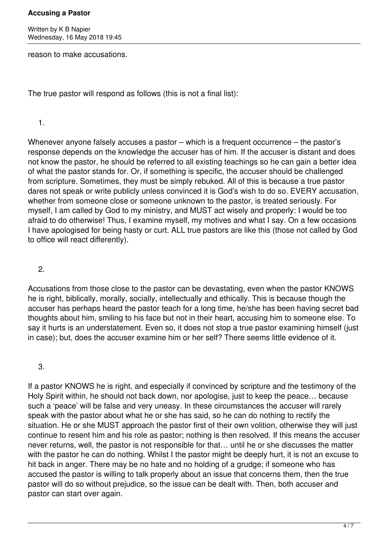Written by K B Napier Wednesday, 16 May 2018 19:45

reason to make accusations.

The true pastor will respond as follows (this is not a final list):

1.

Whenever anyone falsely accuses a pastor – which is a frequent occurrence – the pastor's response depends on the knowledge the accuser has of him. If the accuser is distant and does not know the pastor, he should be referred to all existing teachings so he can gain a better idea of what the pastor stands for. Or, if something is specific, the accuser should be challenged from scripture. Sometimes, they must be simply rebuked. All of this is because a true pastor dares not speak or write publicly unless convinced it is God's wish to do so. EVERY accusation, whether from someone close or someone unknown to the pastor, is treated seriously. For myself, I am called by God to my ministry, and MUST act wisely and properly: I would be too afraid to do otherwise! Thus, I examine myself, my motives and what I say. On a few occasions I have apologised for being hasty or curt. ALL true pastors are like this (those not called by God to office will react differently).

2.

Accusations from those close to the pastor can be devastating, even when the pastor KNOWS he is right, biblically, morally, socially, intellectually and ethically. This is because though the accuser has perhaps heard the pastor teach for a long time, he/she has been having secret bad thoughts about him, smiling to his face but not in their heart, accusing him to someone else. To say it hurts is an understatement. Even so, it does not stop a true pastor examining himself (just in case); but, does the accuser examine him or her self? There seems little evidence of it.

3.

If a pastor KNOWS he is right, and especially if convinced by scripture and the testimony of the Holy Spirit within, he should not back down, nor apologise, just to keep the peace… because such a 'peace' will be false and very uneasy. In these circumstances the accuser will rarely speak with the pastor about what he or she has said, so he can do nothing to rectify the situation. He or she MUST approach the pastor first of their own volition, otherwise they will just continue to resent him and his role as pastor; nothing is then resolved. If this means the accuser never returns, well, the pastor is not responsible for that… until he or she discusses the matter with the pastor he can do nothing. Whilst I the pastor might be deeply hurt, it is not an excuse to hit back in anger. There may be no hate and no holding of a grudge; if someone who has accused the pastor is willing to talk properly about an issue that concerns them, then the true pastor will do so without prejudice, so the issue can be dealt with. Then, both accuser and pastor can start over again.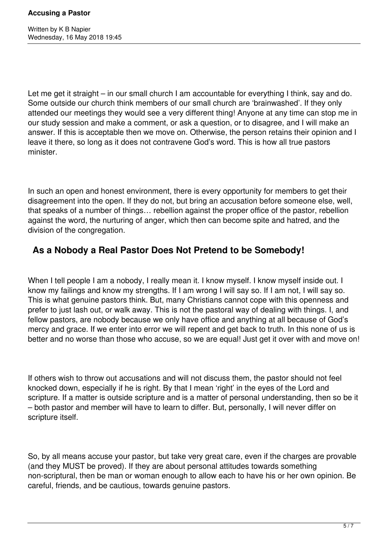Let me get it straight – in our small church I am accountable for everything I think, say and do. Some outside our church think members of our small church are 'brainwashed'. If they only attended our meetings they would see a very different thing! Anyone at any time can stop me in our study session and make a comment, or ask a question, or to disagree, and I will make an answer. If this is acceptable then we move on. Otherwise, the person retains their opinion and I leave it there, so long as it does not contravene God's word. This is how all true pastors minister.

In such an open and honest environment, there is every opportunity for members to get their disagreement into the open. If they do not, but bring an accusation before someone else, well, that speaks of a number of things… rebellion against the proper office of the pastor, rebellion against the word, the nurturing of anger, which then can become spite and hatred, and the division of the congregation.

# **As a Nobody a Real Pastor Does Not Pretend to be Somebody!**

When I tell people I am a nobody, I really mean it. I know myself. I know myself inside out. I know my failings and know my strengths. If I am wrong I will say so. If I am not, I will say so. This is what genuine pastors think. But, many Christians cannot cope with this openness and prefer to just lash out, or walk away. This is not the pastoral way of dealing with things. I, and fellow pastors, are nobody because we only have office and anything at all because of God's mercy and grace. If we enter into error we will repent and get back to truth. In this none of us is better and no worse than those who accuse, so we are equal! Just get it over with and move on!

If others wish to throw out accusations and will not discuss them, the pastor should not feel knocked down, especially if he is right. By that I mean 'right' in the eyes of the Lord and scripture. If a matter is outside scripture and is a matter of personal understanding, then so be it – both pastor and member will have to learn to differ. But, personally, I will never differ on scripture itself.

So, by all means accuse your pastor, but take very great care, even if the charges are provable (and they MUST be proved). If they are about personal attitudes towards something non-scriptural, then be man or woman enough to allow each to have his or her own opinion. Be careful, friends, and be cautious, towards genuine pastors.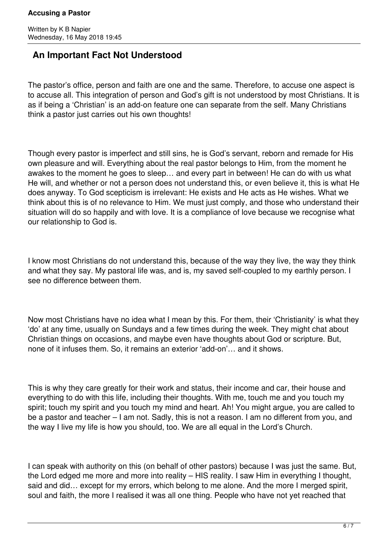## **An Important Fact Not Understood**

The pastor's office, person and faith are one and the same. Therefore, to accuse one aspect is to accuse all. This integration of person and God's gift is not understood by most Christians. It is as if being a 'Christian' is an add-on feature one can separate from the self. Many Christians think a pastor just carries out his own thoughts!

Though every pastor is imperfect and still sins, he is God's servant, reborn and remade for His own pleasure and will. Everything about the real pastor belongs to Him, from the moment he awakes to the moment he goes to sleep… and every part in between! He can do with us what He will, and whether or not a person does not understand this, or even believe it, this is what He does anyway. To God scepticism is irrelevant: He exists and He acts as He wishes. What we think about this is of no relevance to Him. We must just comply, and those who understand their situation will do so happily and with love. It is a compliance of love because we recognise what our relationship to God is.

I know most Christians do not understand this, because of the way they live, the way they think and what they say. My pastoral life was, and is, my saved self-coupled to my earthly person. I see no difference between them.

Now most Christians have no idea what I mean by this. For them, their 'Christianity' is what they 'do' at any time, usually on Sundays and a few times during the week. They might chat about Christian things on occasions, and maybe even have thoughts about God or scripture. But, none of it infuses them. So, it remains an exterior 'add-on'… and it shows.

This is why they care greatly for their work and status, their income and car, their house and everything to do with this life, including their thoughts. With me, touch me and you touch my spirit; touch my spirit and you touch my mind and heart. Ah! You might argue, you are called to be a pastor and teacher – I am not. Sadly, this is not a reason. I am no different from you, and the way I live my life is how you should, too. We are all equal in the Lord's Church.

I can speak with authority on this (on behalf of other pastors) because I was just the same. But, the Lord edged me more and more into reality – HIS reality. I saw Him in everything I thought, said and did… except for my errors, which belong to me alone. And the more I merged spirit, soul and faith, the more I realised it was all one thing. People who have not yet reached that